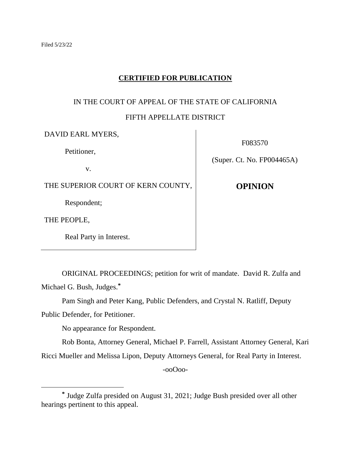# **CERTIFIED FOR PUBLICATION**

# IN THE COURT OF APPEAL OF THE STATE OF CALIFORNIA

# FIFTH APPELLATE DISTRICT

| DAVID EARL MYERS,                  | F083570                    |
|------------------------------------|----------------------------|
| Petitioner,                        |                            |
| V.                                 | (Super. Ct. No. FP004465A) |
| THE SUPERIOR COURT OF KERN COUNTY, | <b>OPINION</b>             |
| Respondent;                        |                            |
| THE PEOPLE,                        |                            |
| Real Party in Interest.            |                            |

ORIGINAL PROCEEDINGS; petition for writ of mandate. David R. Zulfa and Michael G. Bush, Judges. **\***

Pam Singh and Peter Kang, Public Defenders, and Crystal N. Ratliff, Deputy

Public Defender, for Petitioner.

No appearance for Respondent.

Rob Bonta, Attorney General, Michael P. Farrell, Assistant Attorney General, Kari

Ricci Mueller and Melissa Lipon, Deputy Attorneys General, for Real Party in Interest.

-ooOoo-

**<sup>\*</sup>** Judge Zulfa presided on August 31, 2021; Judge Bush presided over all other hearings pertinent to this appeal.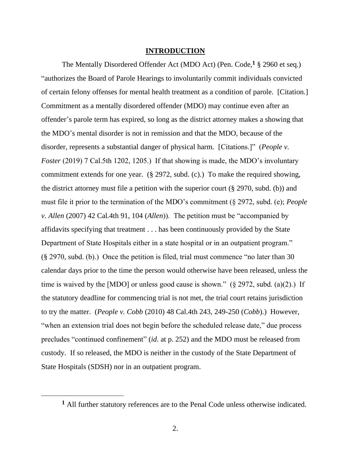### **INTRODUCTION**

The Mentally Disordered Offender Act (MDO Act) (Pen. Code,**<sup>1</sup>** § 2960 et seq.) "authorizes the Board of Parole Hearings to involuntarily commit individuals convicted of certain felony offenses for mental health treatment as a condition of parole. [Citation.] Commitment as a mentally disordered offender (MDO) may continue even after an offender's parole term has expired, so long as the district attorney makes a showing that the MDO's mental disorder is not in remission and that the MDO, because of the disorder, represents a substantial danger of physical harm. [Citations.]" (*People v. Foster* (2019) 7 Cal.5th 1202, 1205.) If that showing is made, the MDO's involuntary commitment extends for one year. (§ 2972, subd. (c).) To make the required showing, the district attorney must file a petition with the superior court  $(\S 2970, \S 100)$  and must file it prior to the termination of the MDO's commitment (§ 2972, subd. (e); *People v. Allen* (2007) 42 Cal.4th 91, 104 (*Allen*)). The petition must be "accompanied by affidavits specifying that treatment . . . has been continuously provided by the State Department of State Hospitals either in a state hospital or in an outpatient program." (§ 2970, subd. (b).) Once the petition is filed, trial must commence "no later than 30 calendar days prior to the time the person would otherwise have been released, unless the time is waived by the [MDO] or unless good cause is shown."  $(\S$  2972, subd. (a)(2).) If the statutory deadline for commencing trial is not met, the trial court retains jurisdiction to try the matter. (*People v. Cobb* (2010) 48 Cal.4th 243, 249-250 (*Cobb*).) However, "when an extension trial does not begin before the scheduled release date," due process precludes "continued confinement" (*id*. at p. 252) and the MDO must be released from custody. If so released, the MDO is neither in the custody of the State Department of State Hospitals (SDSH) nor in an outpatient program.

**<sup>1</sup>** All further statutory references are to the Penal Code unless otherwise indicated.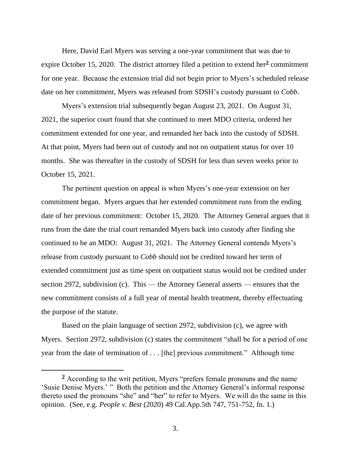Here, David Earl Myers was serving a one-year commitment that was due to expire October 15, 2020. The district attorney filed a petition to extend her**<sup>2</sup>** commitment for one year. Because the extension trial did not begin prior to Myers's scheduled release date on her commitment, Myers was released from SDSH's custody pursuant to *Cobb*.

Myers's extension trial subsequently began August 23, 2021. On August 31, 2021, the superior court found that she continued to meet MDO criteria, ordered her commitment extended for one year, and remanded her back into the custody of SDSH. At that point, Myers had been out of custody and not on outpatient status for over 10 months. She was thereafter in the custody of SDSH for less than seven weeks prior to October 15, 2021.

The pertinent question on appeal is when Myers's one-year extension on her commitment began. Myers argues that her extended commitment runs from the ending date of her previous commitment: October 15, 2020. The Attorney General argues that it runs from the date the trial court remanded Myers back into custody after finding she continued to be an MDO: August 31, 2021. The Attorney General contends Myers's release from custody pursuant to *Cobb* should not be credited toward her term of extended commitment just as time spent on outpatient status would not be credited under section 2972, subdivision (c). This — the Attorney General asserts — ensures that the new commitment consists of a full year of mental health treatment, thereby effectuating the purpose of the statute.

Based on the plain language of section 2972, subdivision (c), we agree with Myers. Section 2972, subdivision (c) states the commitment "shall be for a period of one year from the date of termination of . . . [the] previous commitment." Although time

**<sup>2</sup>** According to the writ petition, Myers "prefers female pronouns and the name 'Susie Denise Myers.' " Both the petition and the Attorney General's informal response thereto used the pronouns "she" and "her" to refer to Myers. We will do the same in this opinion. (See, e.g. *People v. Best* (2020) 49 Cal.App.5th 747, 751-752, fn. 1.)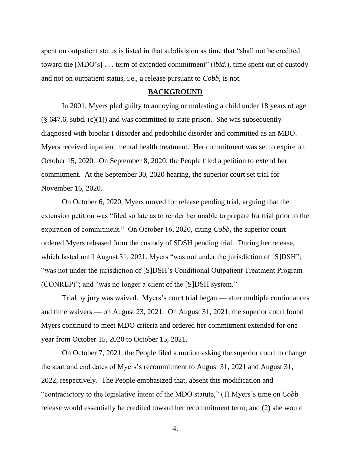spent on outpatient status is listed in that subdivision as time that "shall not be credited toward the [MDO's] . . . term of extended commitment" (*ibid.*), time spent out of custody and not on outpatient status, i.e., a release pursuant to *Cobb*, is not.

#### **BACKGROUND**

In 2001, Myers pled guilty to annoying or molesting a child under 18 years of age  $(\S$  647.6, subd. (c)(1)) and was committed to state prison. She was subsequently diagnosed with bipolar I disorder and pedophilic disorder and committed as an MDO. Myers received inpatient mental health treatment. Her commitment was set to expire on October 15, 2020. On September 8, 2020, the People filed a petition to extend her commitment. At the September 30, 2020 hearing, the superior court set trial for November 16, 2020.

On October 6, 2020, Myers moved for release pending trial, arguing that the extension petition was "filed so late as to render her unable to prepare for trial prior to the expiration of commitment." On October 16, 2020, citing *Cobb*, the superior court ordered Myers released from the custody of SDSH pending trial. During her release, which lasted until August 31, 2021, Myers "was not under the jurisdiction of [S]DSH"; "was not under the jurisdiction of [S]DSH's Conditional Outpatient Treatment Program (CONREP)"; and "was no longer a client of the [S]DSH system."

Trial by jury was waived. Myers's court trial began — after multiple continuances and time waivers — on August 23, 2021. On August 31, 2021, the superior court found Myers continued to meet MDO criteria and ordered her commitment extended for one year from October 15, 2020 to October 15, 2021.

On October 7, 2021, the People filed a motion asking the superior court to change the start and end dates of Myers's recommitment to August 31, 2021 and August 31, 2022, respectively. The People emphasized that, absent this modification and "contradictory to the legislative intent of the MDO statute," (1) Myers's time on *Cobb* release would essentially be credited toward her recommitment term; and (2) she would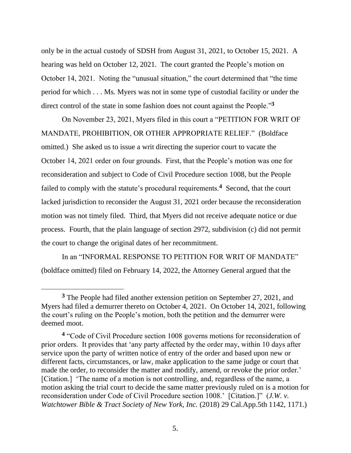only be in the actual custody of SDSH from August 31, 2021, to October 15, 2021. A hearing was held on October 12, 2021. The court granted the People's motion on October 14, 2021. Noting the "unusual situation," the court determined that "the time period for which . . . Ms. Myers was not in some type of custodial facility or under the direct control of the state in some fashion does not count against the People."**<sup>3</sup>**

On November 23, 2021, Myers filed in this court a "PETITION FOR WRIT OF MANDATE, PROHIBITION, OR OTHER APPROPRIATE RELIEF." (Boldface omitted.) She asked us to issue a writ directing the superior court to vacate the October 14, 2021 order on four grounds. First, that the People's motion was one for reconsideration and subject to Code of Civil Procedure section 1008, but the People failed to comply with the statute's procedural requirements.<sup>4</sup> Second, that the court lacked jurisdiction to reconsider the August 31, 2021 order because the reconsideration motion was not timely filed. Third, that Myers did not receive adequate notice or due process. Fourth, that the plain language of section 2972, subdivision (c) did not permit the court to change the original dates of her recommitment.

In an "INFORMAL RESPONSE TO PETITION FOR WRIT OF MANDATE" (boldface omitted) filed on February 14, 2022, the Attorney General argued that the

**<sup>3</sup>** The People had filed another extension petition on September 27, 2021, and Myers had filed a demurrer thereto on October 4, 2021. On October 14, 2021, following the court's ruling on the People's motion, both the petition and the demurrer were deemed moot.

**<sup>4</sup>** "Code of Civil Procedure section 1008 governs motions for reconsideration of prior orders. It provides that 'any party affected by the order may, within 10 days after service upon the party of written notice of entry of the order and based upon new or different facts, circumstances, or law, make application to the same judge or court that made the order, to reconsider the matter and modify, amend, or revoke the prior order.' [Citation.] 'The name of a motion is not controlling, and, regardless of the name, a motion asking the trial court to decide the same matter previously ruled on is a motion for reconsideration under Code of Civil Procedure section 1008.' [Citation.]" (*J.W. v. Watchtower Bible & Tract Society of New York, Inc.* (2018) 29 Cal.App.5th 1142, 1171.)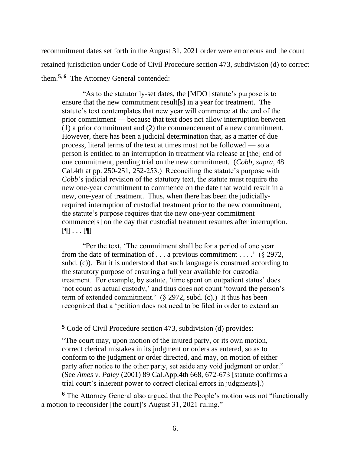recommitment dates set forth in the August 31, 2021 order were erroneous and the court retained jurisdiction under Code of Civil Procedure section 473, subdivision (d) to correct them.**5**, **<sup>6</sup>** The Attorney General contended:

"As to the statutorily-set dates, the [MDO] statute's purpose is to ensure that the new commitment result[s] in a year for treatment. The statute's text contemplates that new year will commence at the end of the prior commitment — because that text does not allow interruption between (1) a prior commitment and (2) the commencement of a new commitment. However, there has been a judicial determination that, as a matter of due process, literal terms of the text at times must not be followed — so a person is entitled to an interruption in treatment via release at [the] end of one commitment, pending trial on the new commitment. (*Cobb*, *supra*, 48 Cal.4th at pp. 250-251, 252-253.) Reconciling the statute's purpose with *Cobb*'s judicial revision of the statutory text, the statute must require the new one-year commitment to commence on the date that would result in a new, one-year of treatment. Thus, when there has been the judiciallyrequired interruption of custodial treatment prior to the new commitment, the statute's purpose requires that the new one-year commitment commence[s] on the day that custodial treatment resumes after interruption. [¶] . . . [¶]

"Per the text, 'The commitment shall be for a period of one year from the date of termination of  $\dots$  a previous commitment  $\dots$  (§ 2972, subd. (c)). But it is understood that such language is construed according to the statutory purpose of ensuring a full year available for custodial treatment. For example, by statute, 'time spent on outpatient status' does 'not count as actual custody,' and thus does not count 'toward the person's term of extended commitment.' (§ 2972, subd. (c).) It thus has been recognized that a 'petition does not need to be filed in order to extend an

**<sup>6</sup>** The Attorney General also argued that the People's motion was not "functionally a motion to reconsider [the court]'s August 31, 2021 ruling."

**<sup>5</sup>** Code of Civil Procedure section 473, subdivision (d) provides:

<sup>&</sup>quot;The court may, upon motion of the injured party, or its own motion, correct clerical mistakes in its judgment or orders as entered, so as to conform to the judgment or order directed, and may, on motion of either party after notice to the other party, set aside any void judgment or order." (See *Ames v. Paley* (2001) 89 Cal.App.4th 668, 672-673 [statute confirms a trial court's inherent power to correct clerical errors in judgments].)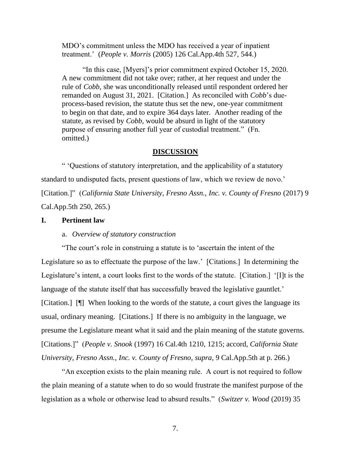MDO's commitment unless the MDO has received a year of inpatient treatment.' (*People v. Morris* (2005) 126 Cal.App.4th 527, 544.)

"In this case, [Myers]'s prior commitment expired October 15, 2020. A new commitment did not take over; rather, at her request and under the rule of *Cobb*, she was unconditionally released until respondent ordered her remanded on August 31, 2021. [Citation.] As reconciled with *Cobb*'s dueprocess-based revision, the statute thus set the new, one-year commitment to begin on that date, and to expire 364 days later. Another reading of the statute, as revised by *Cobb*, would be absurd in light of the statutory purpose of ensuring another full year of custodial treatment." (Fn. omitted.)

#### **DISCUSSION**

" 'Questions of statutory interpretation, and the applicability of a statutory standard to undisputed facts, present questions of law, which we review de novo.' [Citation.]" (*California State University, Fresno Assn., Inc. v. County of Fresno* (2017) 9 Cal.App.5th 250, 265.)

## **I. Pertinent law**

#### a. *Overview of statutory construction*

"The court's role in construing a statute is to 'ascertain the intent of the Legislature so as to effectuate the purpose of the law.' [Citations.] In determining the Legislature's intent, a court looks first to the words of the statute. [Citation.] '[I]t is the language of the statute itself that has successfully braved the legislative gauntlet.' [Citation.] [¶] When looking to the words of the statute, a court gives the language its usual, ordinary meaning. [Citations.] If there is no ambiguity in the language, we presume the Legislature meant what it said and the plain meaning of the statute governs. [Citations.]" (*People v. Snook* (1997) 16 Cal.4th 1210, 1215; accord, *California State University, Fresno Assn., Inc. v. County of Fresno*, *supra*, 9 Cal.App.5th at p. 266.)

"An exception exists to the plain meaning rule. A court is not required to follow the plain meaning of a statute when to do so would frustrate the manifest purpose of the legislation as a whole or otherwise lead to absurd results." (*Switzer v. Wood* (2019) 35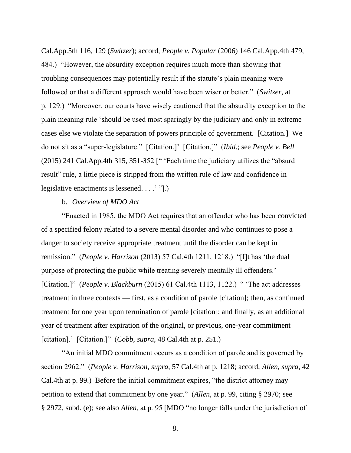Cal.App.5th 116, 129 (*Switzer*); accord, *People v. Popular* (2006) 146 Cal.App.4th 479, 484.) "However, the absurdity exception requires much more than showing that troubling consequences may potentially result if the statute's plain meaning were followed or that a different approach would have been wiser or better." (*Switzer*, at p. 129.) "Moreover, our courts have wisely cautioned that the absurdity exception to the plain meaning rule 'should be used most sparingly by the judiciary and only in extreme cases else we violate the separation of powers principle of government. [Citation.] We do not sit as a "super-legislature." [Citation.]' [Citation.]" (*Ibid*.; see *People v. Bell* (2015) 241 Cal.App.4th 315, 351-352 [" 'Each time the judiciary utilizes the "absurd result" rule, a little piece is stripped from the written rule of law and confidence in legislative enactments is lessened. . . .' "].)

## b. *Overview of MDO Act*

"Enacted in 1985, the MDO Act requires that an offender who has been convicted of a specified felony related to a severe mental disorder and who continues to pose a danger to society receive appropriate treatment until the disorder can be kept in remission." (*People v. Harrison* (2013) 57 Cal.4th 1211, 1218.) "[I]t has 'the dual purpose of protecting the public while treating severely mentally ill offenders.' [Citation.]" (*People v. Blackburn* (2015) 61 Cal.4th 1113, 1122.) " 'The act addresses treatment in three contexts — first, as a condition of parole [citation]; then, as continued treatment for one year upon termination of parole [citation]; and finally, as an additional year of treatment after expiration of the original, or previous, one-year commitment [citation].' [Citation.]" (*Cobb*, *supra*, 48 Cal.4th at p. 251.)

"An initial MDO commitment occurs as a condition of parole and is governed by section 2962." (*People v. Harrison*, *supra*, 57 Cal.4th at p. 1218; accord, *Allen*, *supra*, 42 Cal.4th at p. 99.) Before the initial commitment expires, "the district attorney may petition to extend that commitment by one year." (*Allen*, at p. 99, citing § 2970; see § 2972, subd. (e); see also *Allen*, at p. 95 [MDO "no longer falls under the jurisdiction of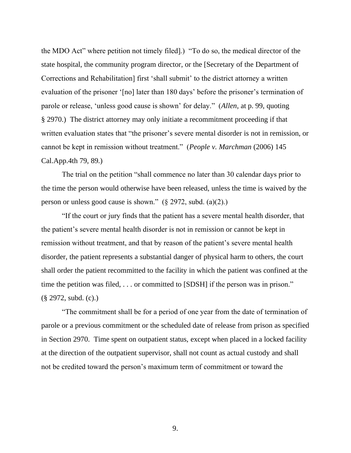the MDO Act" where petition not timely filed].) "To do so, the medical director of the state hospital, the community program director, or the [Secretary of the Department of Corrections and Rehabilitation] first 'shall submit' to the district attorney a written evaluation of the prisoner '[no] later than 180 days' before the prisoner's termination of parole or release, 'unless good cause is shown' for delay." (*Allen*, at p. 99, quoting § 2970.) The district attorney may only initiate a recommitment proceeding if that written evaluation states that "the prisoner's severe mental disorder is not in remission, or cannot be kept in remission without treatment." (*People v. Marchman* (2006) 145 Cal.App.4th 79, 89.)

The trial on the petition "shall commence no later than 30 calendar days prior to the time the person would otherwise have been released, unless the time is waived by the person or unless good cause is shown." (§ 2972, subd. (a)(2).)

"If the court or jury finds that the patient has a severe mental health disorder, that the patient's severe mental health disorder is not in remission or cannot be kept in remission without treatment, and that by reason of the patient's severe mental health disorder, the patient represents a substantial danger of physical harm to others, the court shall order the patient recommitted to the facility in which the patient was confined at the time the petition was filed, . . . or committed to [SDSH] if the person was in prison." (§ 2972, subd. (c).)

"The commitment shall be for a period of one year from the date of termination of parole or a previous commitment or the scheduled date of release from prison as specified in Section 2970. Time spent on outpatient status, except when placed in a locked facility at the direction of the outpatient supervisor, shall not count as actual custody and shall not be credited toward the person's maximum term of commitment or toward the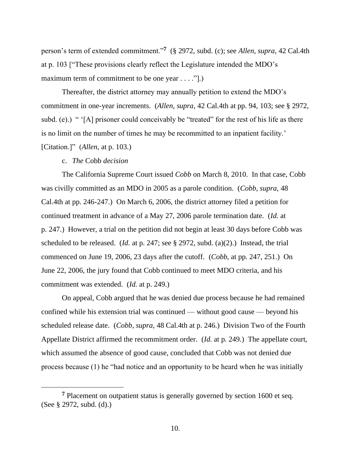person's term of extended commitment."**<sup>7</sup>** (§ 2972, subd. (c); see *Allen*, *supra*, 42 Cal.4th at p. 103 ["These provisions clearly reflect the Legislature intended the MDO's maximum term of commitment to be one year . . . . "[.)

Thereafter, the district attorney may annually petition to extend the MDO's commitment in one-year increments. (*Allen*, *supra*, 42 Cal.4th at pp. 94, 103; see § 2972, subd. (e).) " '[A] prisoner could conceivably be "treated" for the rest of his life as there is no limit on the number of times he may be recommitted to an inpatient facility.' [Citation.]" (*Allen*, at p. 103.)

## c. *The* Cobb *decision*

The California Supreme Court issued *Cobb* on March 8, 2010. In that case, Cobb was civilly committed as an MDO in 2005 as a parole condition. (*Cobb*, *supra*, 48 Cal.4th at pp. 246-247.) On March 6, 2006, the district attorney filed a petition for continued treatment in advance of a May 27, 2006 parole termination date. (*Id.* at p. 247.) However, a trial on the petition did not begin at least 30 days before Cobb was scheduled to be released. (*Id.* at p. 247; see § 2972, subd. (a)(2).) Instead, the trial commenced on June 19, 2006, 23 days after the cutoff. (*Cobb*, at pp. 247, 251.) On June 22, 2006, the jury found that Cobb continued to meet MDO criteria, and his commitment was extended. (*Id.* at p. 249.)

On appeal, Cobb argued that he was denied due process because he had remained confined while his extension trial was continued — without good cause — beyond his scheduled release date. (*Cobb*, *supra*, 48 Cal.4th at p. 246.) Division Two of the Fourth Appellate District affirmed the recommitment order. (*Id.* at p. 249.) The appellate court, which assumed the absence of good cause, concluded that Cobb was not denied due process because (1) he "had notice and an opportunity to be heard when he was initially

**<sup>7</sup>** Placement on outpatient status is generally governed by section 1600 et seq. (See § 2972, subd. (d).)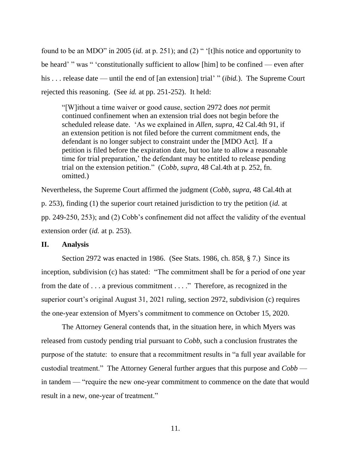found to be an MDO" in 2005 (*id.* at p. 251); and (2) " '[t]his notice and opportunity to be heard' " was " 'constitutionally sufficient to allow [him] to be confined — even after his . . . release date — until the end of [an extension] trial' " *(ibid.)*. The Supreme Court rejected this reasoning. (See *id.* at pp. 251-252). It held:

"[W]ithout a time waiver or good cause, section 2972 does *not* permit continued confinement when an extension trial does not begin before the scheduled release date. 'As we explained in *Allen*, *supra*, 42 Cal.4th 91, if an extension petition is not filed before the current commitment ends, the defendant is no longer subject to constraint under the [MDO Act]. If a petition is filed before the expiration date, but too late to allow a reasonable time for trial preparation,' the defendant may be entitled to release pending trial on the extension petition." (*Cobb*, *supra*, 48 Cal.4th at p. 252, fn. omitted.)

Nevertheless, the Supreme Court affirmed the judgment (*Cobb*, *supra*, 48 Cal.4th at p. 253), finding (1) the superior court retained jurisdiction to try the petition (*id.* at pp. 249-250, 253); and (2) Cobb's confinement did not affect the validity of the eventual extension order (*id.* at p. 253).

#### **II. Analysis**

Section 2972 was enacted in 1986. (See Stats. 1986, ch. 858, § 7.) Since its inception, subdivision (c) has stated: "The commitment shall be for a period of one year from the date of . . . a previous commitment . . . ." Therefore, as recognized in the superior court's original August 31, 2021 ruling, section 2972, subdivision (c) requires the one-year extension of Myers's commitment to commence on October 15, 2020.

The Attorney General contends that, in the situation here, in which Myers was released from custody pending trial pursuant to *Cobb*, such a conclusion frustrates the purpose of the statute: to ensure that a recommitment results in "a full year available for custodial treatment." The Attorney General further argues that this purpose and *Cobb* in tandem — "require the new one-year commitment to commence on the date that would result in a new, one-year of treatment."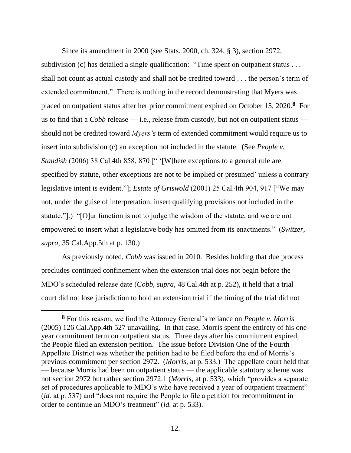Since its amendment in 2000 (see Stats. 2000, ch. 324, § 3), section 2972, subdivision (c) has detailed a single qualification: "Time spent on outpatient status . . . shall not count as actual custody and shall not be credited toward . . . the person's term of extended commitment." There is nothing in the record demonstrating that Myers was placed on outpatient status after her prior commitment expired on October 15, 2020.**<sup>8</sup>** For us to find that a *Cobb* release — i.e., release from custody, but not on outpatient status should not be credited toward *Myers's* term of extended commitment would require us to insert into subdivision (c) an exception not included in the statute. (See *People v. Standish (2006) 38 Cal.4th 858, 870 [" '[W]here exceptions to a general rule are* specified by statute, other exceptions are not to be implied or presumed' unless a contrary legislative intent is evident."]; *Estate of Griswold* (2001) 25 Cal.4th 904, 917 ["We may not, under the guise of interpretation, insert qualifying provisions not included in the statute."].) "[O]ur function is not to judge the wisdom of the statute, and we are not empowered to insert what a legislative body has omitted from its enactments." (*Switzer*, *supra*, 35 Cal.App.5th at p. 130.)

As previously noted, *Cobb* was issued in 2010. Besides holding that due process precludes continued confinement when the extension trial does not begin before the MDO's scheduled release date (*Cobb*, *supra*, 48 Cal.4th at p. 252), it held that a trial court did not lose jurisdiction to hold an extension trial if the timing of the trial did not

**<sup>8</sup>** For this reason, we find the Attorney General's reliance on *People v. Morris* (2005) 126 Cal.App.4th 527 unavailing. In that case, Morris spent the entirety of his oneyear commitment term on outpatient status. Three days after his commitment expired, the People filed an extension petition. The issue before Division One of the Fourth Appellate District was whether the petition had to be filed before the end of Morris's previous commitment per section 2972. (*Morris*, at p. 533.) The appellate court held that — because Morris had been on outpatient status — the applicable statutory scheme was not section 2972 but rather section 2972.1 (*Morris*, at p. 533), which "provides a separate set of procedures applicable to MDO's who have received a year of outpatient treatment" (*id.* at p. 537) and "does not require the People to file a petition for recommitment in order to continue an MDO's treatment" (*id.* at p. 533).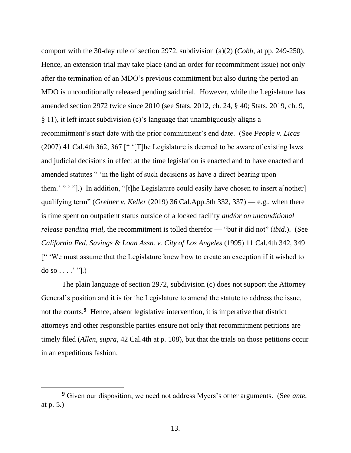comport with the 30-day rule of section 2972, subdivision (a)(2) (*Cobb*, at pp. 249-250). Hence, an extension trial may take place (and an order for recommitment issue) not only after the termination of an MDO's previous commitment but also during the period an MDO is unconditionally released pending said trial. However, while the Legislature has amended section 2972 twice since 2010 (see Stats. 2012, ch. 24, § 40; Stats. 2019, ch. 9, § 11), it left intact subdivision (c)'s language that unambiguously aligns a recommitment's start date with the prior commitment's end date. (See *People v. Licas* (2007) 41 Cal.4th 362, 367 [" '[T]he Legislature is deemed to be aware of existing laws and judicial decisions in effect at the time legislation is enacted and to have enacted and amended statutes " 'in the light of such decisions as have a direct bearing upon them.' """.) In addition, "[t]he Legislature could easily have chosen to insert a[nother] qualifying term" (*Greiner v. Keller* (2019) 36 Cal.App.5th 332, 337) — e.g., when there is time spent on outpatient status outside of a locked facility *and/or on unconditional release pending trial*, the recommitment is tolled therefor — "but it did not" (*ibid.*). (See *California Fed. Savings & Loan Assn. v. City of Los Angeles* (1995) 11 Cal.4th 342, 349 [" 'We must assume that the Legislature knew how to create an exception if it wished to do so  $\dots$  .' "].)

The plain language of section 2972, subdivision (c) does not support the Attorney General's position and it is for the Legislature to amend the statute to address the issue, not the courts.<sup>9</sup> Hence, absent legislative intervention, it is imperative that district attorneys and other responsible parties ensure not only that recommitment petitions are timely filed (*Allen*, *supra*, 42 Cal.4th at p. 108), but that the trials on those petitions occur in an expeditious fashion.

**<sup>9</sup>** Given our disposition, we need not address Myers's other arguments. (See *ante*, at p. 5.)